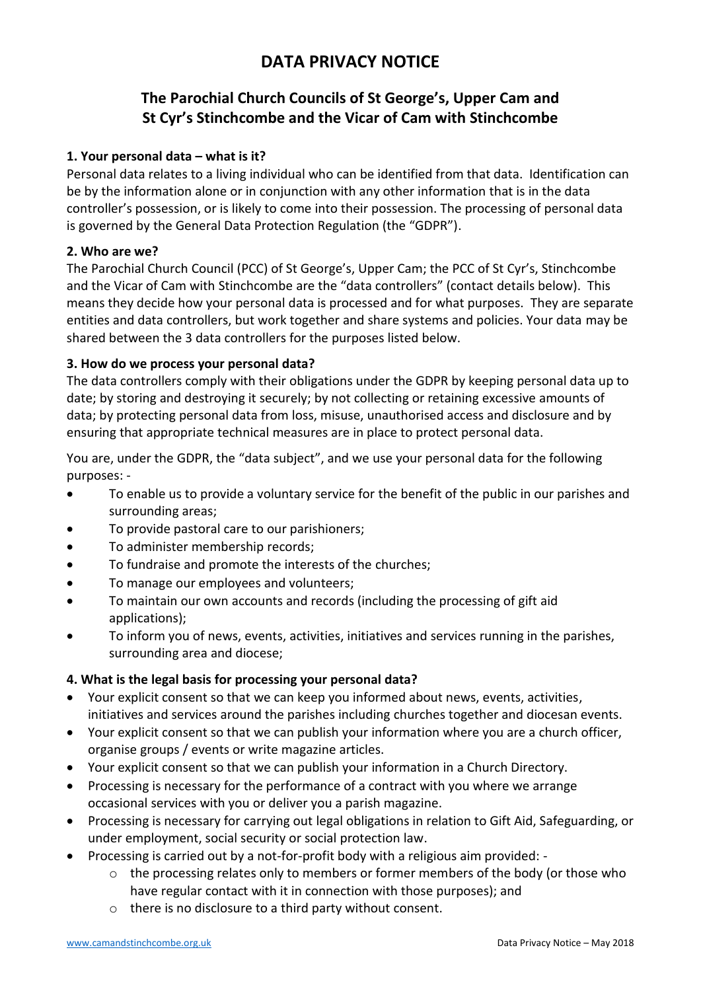# **DATA PRIVACY NOTICE**

## **The Parochial Church Councils of St George's, Upper Cam and St Cyr's Stinchcombe and the Vicar of Cam with Stinchcombe**

## **1. Your personal data – what is it?**

Personal data relates to a living individual who can be identified from that data. Identification can be by the information alone or in conjunction with any other information that is in the data controller's possession, or is likely to come into their possession. The processing of personal data is governed by the General Data Protection Regulation (the "GDPR").

## **2. Who are we?**

The Parochial Church Council (PCC) of St George's, Upper Cam; the PCC of St Cyr's, Stinchcombe and the Vicar of Cam with Stinchcombe are the "data controllers" (contact details below). This means they decide how your personal data is processed and for what purposes. They are separate entities and data controllers, but work together and share systems and policies. Your data may be shared between the 3 data controllers for the purposes listed below.

## **3. How do we process your personal data?**

The data controllers comply with their obligations under the GDPR by keeping personal data up to date; by storing and destroying it securely; by not collecting or retaining excessive amounts of data; by protecting personal data from loss, misuse, unauthorised access and disclosure and by ensuring that appropriate technical measures are in place to protect personal data.

You are, under the GDPR, the "data subject", and we use your personal data for the following purposes: -

- To enable us to provide a voluntary service for the benefit of the public in our parishes and surrounding areas;
- To provide pastoral care to our parishioners;
- To administer membership records;
- To fundraise and promote the interests of the churches;
- To manage our employees and volunteers;
- To maintain our own accounts and records (including the processing of gift aid applications);
- To inform you of news, events, activities, initiatives and services running in the parishes, surrounding area and diocese;

## **4. What is the legal basis for processing your personal data?**

- Your explicit consent so that we can keep you informed about news, events, activities, initiatives and services around the parishes including churches together and diocesan events.
- Your explicit consent so that we can publish your information where you are a church officer, organise groups / events or write magazine articles.
- Your explicit consent so that we can publish your information in a Church Directory.
- Processing is necessary for the performance of a contract with you where we arrange occasional services with you or deliver you a parish magazine.
- Processing is necessary for carrying out legal obligations in relation to Gift Aid, Safeguarding, or under employment, social security or social protection law.
- Processing is carried out by a not-for-profit body with a religious aim provided:
	- $\circ$  the processing relates only to members or former members of the body (or those who have regular contact with it in connection with those purposes); and
	- o there is no disclosure to a third party without consent.